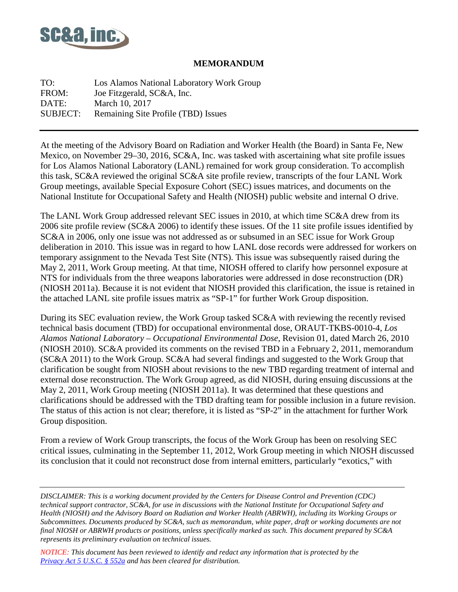

#### **MEMORANDUM**

TO: Los Alamos National Laboratory Work Group FROM: Joe Fitzgerald, SC&A, Inc. DATE: March 10, 2017 SUBJECT: Remaining Site Profile (TBD) Issues

At the meeting of the Advisory Board on Radiation and Worker Health (the Board) in Santa Fe, New Mexico, on November 29–30, 2016, SC&A, Inc. was tasked with ascertaining what site profile issues for Los Alamos National Laboratory (LANL) remained for work group consideration. To accomplish this task, SC&A reviewed the original SC&A site profile review, transcripts of the four LANL Work Group meetings, available Special Exposure Cohort (SEC) issues matrices, and documents on the National Institute for Occupational Safety and Health (NIOSH) public website and internal O drive.

The LANL Work Group addressed relevant SEC issues in 2010, at which time SC&A drew from its 2006 site profile review (SC&A 2006) to identify these issues. Of the 11 site profile issues identified by SC&A in 2006, only one issue was not addressed as or subsumed in an SEC issue for Work Group deliberation in 2010. This issue was in regard to how LANL dose records were addressed for workers on temporary assignment to the Nevada Test Site (NTS). This issue was subsequently raised during the May 2, 2011, Work Group meeting. At that time, NIOSH offered to clarify how personnel exposure at NTS for individuals from the three weapons laboratories were addressed in dose reconstruction (DR) (NIOSH 2011a). Because it is not evident that NIOSH provided this clarification, the issue is retained in the attached LANL site profile issues matrix as "SP-1" for further Work Group disposition.

During its SEC evaluation review, the Work Group tasked SC&A with reviewing the recently revised technical basis document (TBD) for occupational environmental dose, ORAUT-TKBS-0010-4, *Los Alamos National Laboratory – Occupational Environmental Dose*, Revision 01, dated March 26, 2010 (NIOSH 2010). SC&A provided its comments on the revised TBD in a February 2, 2011, memorandum (SC&A 2011) to the Work Group. SC&A had several findings and suggested to the Work Group that clarification be sought from NIOSH about revisions to the new TBD regarding treatment of internal and external dose reconstruction. The Work Group agreed, as did NIOSH, during ensuing discussions at the May 2, 2011, Work Group meeting (NIOSH 2011a). It was determined that these questions and clarifications should be addressed with the TBD drafting team for possible inclusion in a future revision. The status of this action is not clear; therefore, it is listed as "SP-2" in the attachment for further Work Group disposition.

From a review of Work Group transcripts, the focus of the Work Group has been on resolving SEC critical issues, culminating in the September 11, 2012, Work Group meeting in which NIOSH discussed its conclusion that it could not reconstruct dose from internal emitters, particularly "exotics," with

*DISCLAIMER: This is a working document provided by the Centers for Disease Control and Prevention (CDC) technical support contractor, SC&A, for use in discussions with the National Institute for Occupational Safety and Health (NIOSH) and the Advisory Board on Radiation and Worker Health (ABRWH), including its Working Groups or Subcommittees. Documents produced by SC&A, such as memorandum, white paper, draft or working documents are not final NIOSH or ABRWH products or positions, unless specifically marked as such. This document prepared by SC&A represents its preliminary evaluation on technical issues.*

*NOTICE: This document has been reviewed to identify and redact any information that is protected by the Privacy [Act 5 U.S.C. § 552a](http://www.justice.gov/opcl/privacy-act-1974) and has been cleared for distribution.*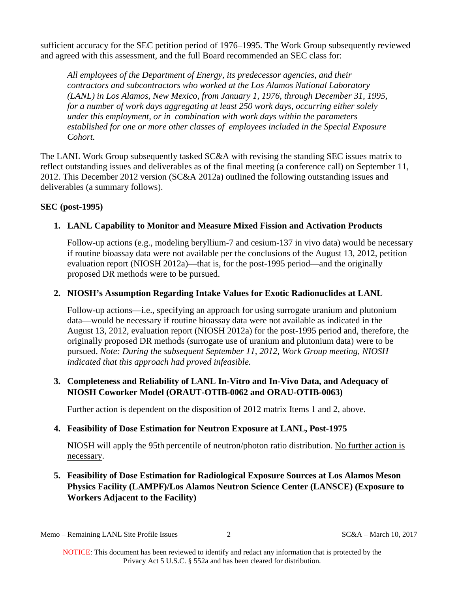sufficient accuracy for the SEC petition period of 1976–1995. The Work Group subsequently reviewed and agreed with this assessment, and the full Board recommended an SEC class for:

*All employees of the Department of Energy, its predecessor agencies, and their contractors and subcontractors who worked at the Los Alamos National Laboratory (LANL) in Los Alamos, New Mexico, from January 1, 1976, through December 31, 1995, for a number of work days aggregating at least 250 work days, occurring either solely under this employment, or in combination with work days within the parameters established for one or more other classes of employees included in the Special Exposure Cohort.* 

The LANL Work Group subsequently tasked SC&A with revising the standing SEC issues matrix to reflect outstanding issues and deliverables as of the final meeting (a conference call) on September 11, 2012. This December 2012 version (SC&A 2012a) outlined the following outstanding issues and deliverables (a summary follows).

#### **SEC (post-1995)**

# **1. LANL Capability to Monitor and Measure Mixed Fission and Activation Products**

Follow-up actions (e.g., modeling beryllium-7 and cesium-137 in vivo data) would be necessary if routine bioassay data were not available per the conclusions of the August 13, 2012, petition evaluation report (NIOSH 2012a)—that is, for the post-1995 period—and the originally proposed DR methods were to be pursued.

## **2. NIOSH's Assumption Regarding Intake Values for Exotic Radionuclides at LANL**

Follow-up actions—i.e., specifying an approach for using surrogate uranium and plutonium data—would be necessary if routine bioassay data were not available as indicated in the August 13, 2012, evaluation report (NIOSH 2012a) for the post-1995 period and, therefore, the originally proposed DR methods (surrogate use of uranium and plutonium data) were to be pursued. *Note: During the subsequent September 11, 2012, Work Group meeting, NIOSH indicated that this approach had proved infeasible.*

## **3. Completeness and Reliability of LANL In-Vitro and In-Vivo Data, and Adequacy of NIOSH Coworker Model (ORAUT-OTIB-0062 and ORAU-OTIB-0063)**

Further action is dependent on the disposition of 2012 matrix Items 1 and 2, above.

# **4. Feasibility of Dose Estimation for Neutron Exposure at LANL, Post-1975**

NIOSH will apply the 95th percentile of neutron/photon ratio distribution. No further action is necessary.

**5. Feasibility of Dose Estimation for Radiological Exposure Sources at Los Alamos Meson Physics Facility (LAMPF)/Los Alamos Neutron Science Center (LANSCE) (Exposure to Workers Adjacent to the Facility)**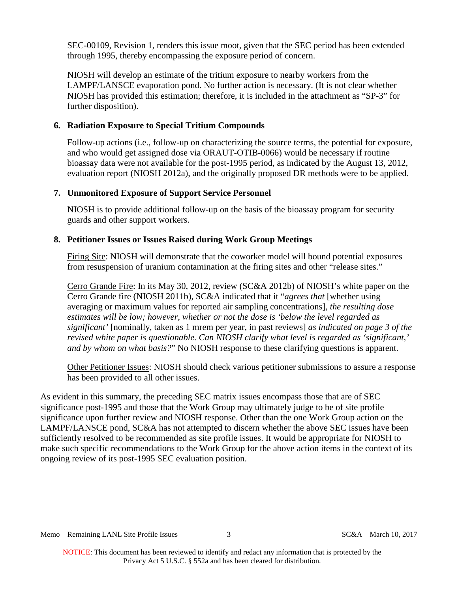SEC-00109, Revision 1, renders this issue moot, given that the SEC period has been extended through 1995, thereby encompassing the exposure period of concern.

NIOSH will develop an estimate of the tritium exposure to nearby workers from the LAMPF/LANSCE evaporation pond. No further action is necessary. (It is not clear whether NIOSH has provided this estimation; therefore, it is included in the attachment as "SP-3" for further disposition).

## **6. Radiation Exposure to Special Tritium Compounds**

Follow-up actions (i.e., follow-up on characterizing the source terms, the potential for exposure, and who would get assigned dose via ORAUT-OTIB-0066) would be necessary if routine bioassay data were not available for the post-1995 period, as indicated by the August 13, 2012, evaluation report (NIOSH 2012a), and the originally proposed DR methods were to be applied.

## **7. Unmonitored Exposure of Support Service Personnel**

NIOSH is to provide additional follow-up on the basis of the bioassay program for security guards and other support workers.

## **8. Petitioner Issues or Issues Raised during Work Group Meetings**

Firing Site: NIOSH will demonstrate that the coworker model will bound potential exposures from resuspension of uranium contamination at the firing sites and other "release sites."

Cerro Grande Fire: In its May 30, 2012, review (SC&A 2012b) of NIOSH's white paper on the Cerro Grande fire (NIOSH 2011b), SC&A indicated that it "*agrees that* [whether using averaging or maximum values for reported air sampling concentrations]*, the resulting dose estimates will be low; however, whether or not the dose is 'below the level regarded as significant'* [nominally, taken as 1 mrem per year, in past reviews] *as indicated on page 3 of the revised white paper is questionable. Can NIOSH clarify what level is regarded as 'significant,' and by whom on what basis?*" No NIOSH response to these clarifying questions is apparent.

Other Petitioner Issues: NIOSH should check various petitioner submissions to assure a response has been provided to all other issues.

As evident in this summary, the preceding SEC matrix issues encompass those that are of SEC significance post-1995 and those that the Work Group may ultimately judge to be of site profile significance upon further review and NIOSH response. Other than the one Work Group action on the LAMPF/LANSCE pond, SC&A has not attempted to discern whether the above SEC issues have been sufficiently resolved to be recommended as site profile issues. It would be appropriate for NIOSH to make such specific recommendations to the Work Group for the above action items in the context of its ongoing review of its post-1995 SEC evaluation position.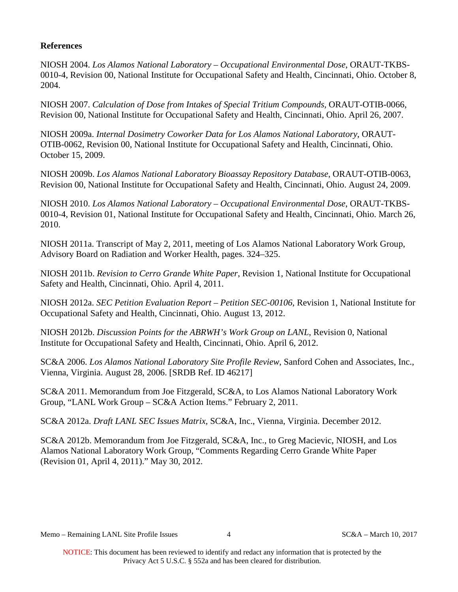### **References**

NIOSH 2004. *Los Alamos National Laboratory – Occupational Environmental Dose*, ORAUT-TKBS-0010-4, Revision 00, National Institute for Occupational Safety and Health, Cincinnati, Ohio. October 8, 2004.

NIOSH 2007. *Calculation of Dose from Intakes of Special Tritium Compounds*, ORAUT-OTIB-0066, Revision 00, National Institute for Occupational Safety and Health, Cincinnati, Ohio. April 26, 2007.

NIOSH 2009a. *Internal Dosimetry Coworker Data for Los Alamos National Laboratory*, ORAUT-OTIB-0062, Revision 00, National Institute for Occupational Safety and Health, Cincinnati, Ohio. October 15, 2009.

NIOSH 2009b. *Los Alamos National Laboratory Bioassay Repository Database*, ORAUT-OTIB-0063, Revision 00, National Institute for Occupational Safety and Health, Cincinnati, Ohio. August 24, 2009.

NIOSH 2010. *Los Alamos National Laboratory – Occupational Environmental Dose*, ORAUT-TKBS-0010-4, Revision 01, National Institute for Occupational Safety and Health, Cincinnati, Ohio. March 26, 2010.

NIOSH 2011a. Transcript of May 2, 2011, meeting of Los Alamos National Laboratory Work Group, Advisory Board on Radiation and Worker Health, pages. 324–325.

NIOSH 2011b. *Revision to Cerro Grande White Paper*, Revision 1, National Institute for Occupational Safety and Health, Cincinnati, Ohio. April 4, 2011.

NIOSH 2012a. *SEC Petition Evaluation Report – Petition SEC-00106*, Revision 1, National Institute for Occupational Safety and Health, Cincinnati, Ohio. August 13, 2012.

NIOSH 2012b. *Discussion Points for the ABRWH's Work Group on LANL*, Revision 0, National Institute for Occupational Safety and Health, Cincinnati, Ohio. April 6, 2012.

SC&A 2006. *Los Alamos National Laboratory Site Profile Review*, Sanford Cohen and Associates, Inc., Vienna, Virginia. August 28, 2006. [SRDB Ref. ID 46217]

SC&A 2011. Memorandum from Joe Fitzgerald, SC&A, to Los Alamos National Laboratory Work Group, "LANL Work Group – SC&A Action Items." February 2, 2011.

SC&A 2012a. *Draft LANL SEC Issues Matrix*, SC&A, Inc., Vienna, Virginia. December 2012.

SC&A 2012b. Memorandum from Joe Fitzgerald, SC&A, Inc., to Greg Macievic, NIOSH, and Los Alamos National Laboratory Work Group, "Comments Regarding Cerro Grande White Paper (Revision 01, April 4, 2011)." May 30, 2012.